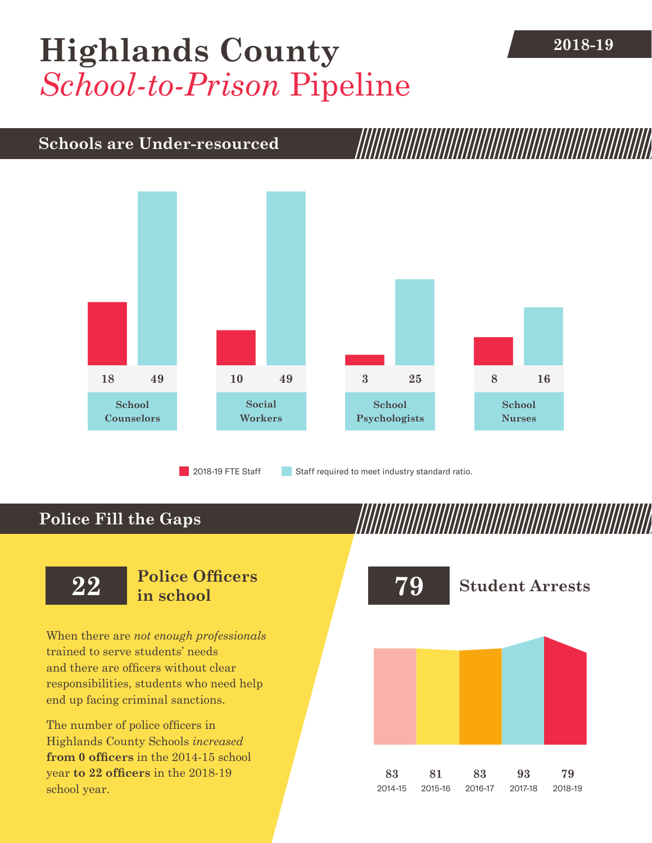# **[Highlands County](DBF_County) 2018-19** *School-to-Prison* Pipeline

### **Schools are Under-resourced**



2018-19 FTE Staff **Staff required to meet industry standard ratio.** 

## **Police Fill the Gaps**

When there are *not enough professionals* trained to serve students' needs and there are officers without clear responsibilities, students who need help end up facing criminal sanctions.

The number of police officers in [Highlands County](DBF_County) Schools *increased* **from [0](DBF_PO1415) officers** in the 2014-15 school year **to [22](DBF_PO) officers** in the 2018-19 school year.